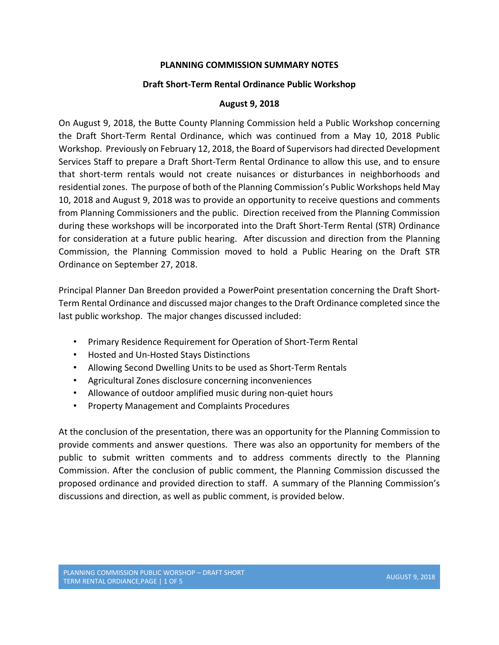### **PLANNING COMMISSION SUMMARY NOTES**

### **Draft Short‐Term Rental Ordinance Public Workshop**

### **August 9, 2018**

On August 9, 2018, the Butte County Planning Commission held a Public Workshop concerning the Draft Short‐Term Rental Ordinance, which was continued from a May 10, 2018 Public Workshop. Previously on February 12, 2018, the Board of Supervisors had directed Development Services Staff to prepare a Draft Short‐Term Rental Ordinance to allow this use, and to ensure that short-term rentals would not create nuisances or disturbances in neighborhoods and residential zones. The purpose of both of the Planning Commission's Public Workshops held May 10, 2018 and August 9, 2018 was to provide an opportunity to receive questions and comments from Planning Commissioners and the public. Direction received from the Planning Commission during these workshops will be incorporated into the Draft Short‐Term Rental (STR) Ordinance for consideration at a future public hearing. After discussion and direction from the Planning Commission, the Planning Commission moved to hold a Public Hearing on the Draft STR Ordinance on September 27, 2018.

Principal Planner Dan Breedon provided a PowerPoint presentation concerning the Draft Short‐ Term Rental Ordinance and discussed major changes to the Draft Ordinance completed since the last public workshop. The major changes discussed included:

- Primary Residence Requirement for Operation of Short-Term Rental
- Hosted and Un‐Hosted Stays Distinctions
- Allowing Second Dwelling Units to be used as Short‐Term Rentals
- Agricultural Zones disclosure concerning inconveniences
- Allowance of outdoor amplified music during non-quiet hours
- Property Management and Complaints Procedures

At the conclusion of the presentation, there was an opportunity for the Planning Commission to provide comments and answer questions. There was also an opportunity for members of the public to submit written comments and to address comments directly to the Planning Commission. After the conclusion of public comment, the Planning Commission discussed the proposed ordinance and provided direction to staff. A summary of the Planning Commission's discussions and direction, as well as public comment, is provided below.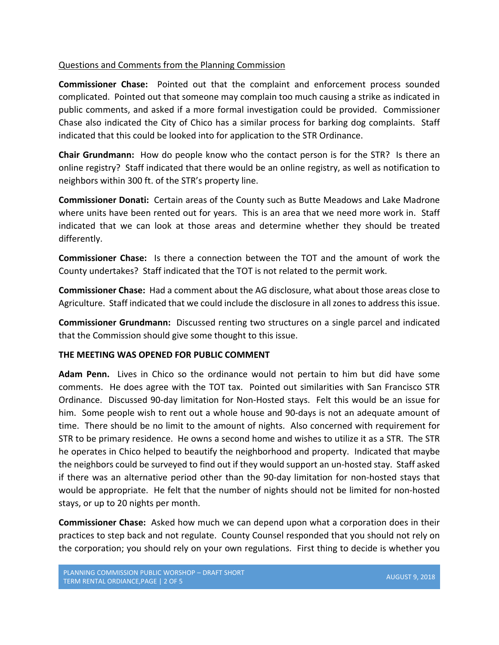## Questions and Comments from the Planning Commission

**Commissioner Chase:** Pointed out that the complaint and enforcement process sounded complicated. Pointed out that someone may complain too much causing a strike as indicated in public comments, and asked if a more formal investigation could be provided. Commissioner Chase also indicated the City of Chico has a similar process for barking dog complaints. Staff indicated that this could be looked into for application to the STR Ordinance.

**Chair Grundmann:** How do people know who the contact person is for the STR? Is there an online registry? Staff indicated that there would be an online registry, as well as notification to neighbors within 300 ft. of the STR's property line.

**Commissioner Donati:** Certain areas of the County such as Butte Meadows and Lake Madrone where units have been rented out for years. This is an area that we need more work in. Staff indicated that we can look at those areas and determine whether they should be treated differently.

**Commissioner Chase:** Is there a connection between the TOT and the amount of work the County undertakes? Staff indicated that the TOT is not related to the permit work.

**Commissioner Chase:** Had a comment about the AG disclosure, what about those areas close to Agriculture. Staff indicated that we could include the disclosure in all zones to address this issue.

**Commissioner Grundmann:** Discussed renting two structures on a single parcel and indicated that the Commission should give some thought to this issue.

### **THE MEETING WAS OPENED FOR PUBLIC COMMENT**

**Adam Penn.** Lives in Chico so the ordinance would not pertain to him but did have some comments. He does agree with the TOT tax. Pointed out similarities with San Francisco STR Ordinance. Discussed 90‐day limitation for Non‐Hosted stays. Felt this would be an issue for him. Some people wish to rent out a whole house and 90-days is not an adequate amount of time. There should be no limit to the amount of nights. Also concerned with requirement for STR to be primary residence. He owns a second home and wishes to utilize it as a STR. The STR he operates in Chico helped to beautify the neighborhood and property. Indicated that maybe the neighbors could be surveyed to find out if they would support an un‐hosted stay. Staff asked if there was an alternative period other than the 90‐day limitation for non‐hosted stays that would be appropriate. He felt that the number of nights should not be limited for non-hosted stays, or up to 20 nights per month.

**Commissioner Chase:** Asked how much we can depend upon what a corporation does in their practices to step back and not regulate. County Counsel responded that you should not rely on the corporation; you should rely on your own regulations. First thing to decide is whether you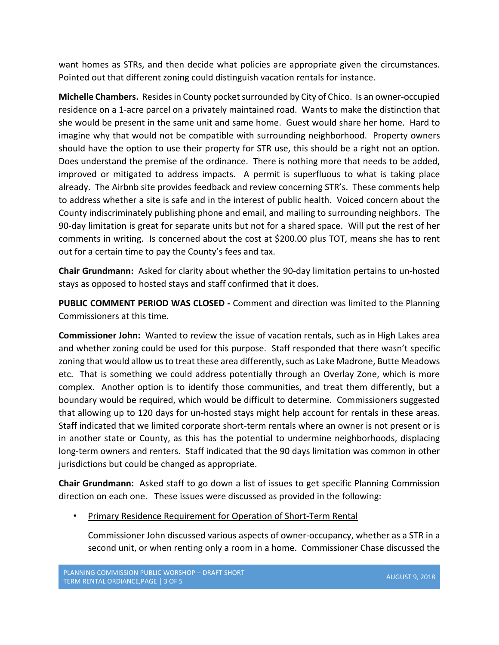want homes as STRs, and then decide what policies are appropriate given the circumstances. Pointed out that different zoning could distinguish vacation rentals for instance.

**Michelle Chambers.** Resides in County pocket surrounded by City of Chico. Is an owner‐occupied residence on a 1‐acre parcel on a privately maintained road. Wants to make the distinction that she would be present in the same unit and same home. Guest would share her home. Hard to imagine why that would not be compatible with surrounding neighborhood. Property owners should have the option to use their property for STR use, this should be a right not an option. Does understand the premise of the ordinance. There is nothing more that needs to be added, improved or mitigated to address impacts. A permit is superfluous to what is taking place already. The Airbnb site provides feedback and review concerning STR's. These comments help to address whether a site is safe and in the interest of public health. Voiced concern about the County indiscriminately publishing phone and email, and mailing to surrounding neighbors. The 90-day limitation is great for separate units but not for a shared space. Will put the rest of her comments in writing. Is concerned about the cost at \$200.00 plus TOT, means she has to rent out for a certain time to pay the County's fees and tax.

**Chair Grundmann:** Asked for clarity about whether the 90‐day limitation pertains to un‐hosted stays as opposed to hosted stays and staff confirmed that it does.

**PUBLIC COMMENT PERIOD WAS CLOSED ‐** Comment and direction was limited to the Planning Commissioners at this time.

**Commissioner John:** Wanted to review the issue of vacation rentals, such as in High Lakes area and whether zoning could be used for this purpose. Staff responded that there wasn't specific zoning that would allow us to treat these area differently, such as Lake Madrone, Butte Meadows etc. That is something we could address potentially through an Overlay Zone, which is more complex. Another option is to identify those communities, and treat them differently, but a boundary would be required, which would be difficult to determine. Commissioners suggested that allowing up to 120 days for un‐hosted stays might help account for rentals in these areas. Staff indicated that we limited corporate short‐term rentals where an owner is not present or is in another state or County, as this has the potential to undermine neighborhoods, displacing long-term owners and renters. Staff indicated that the 90 days limitation was common in other jurisdictions but could be changed as appropriate.

**Chair Grundmann:** Asked staff to go down a list of issues to get specific Planning Commission direction on each one. These issues were discussed as provided in the following:

# • Primary Residence Requirement for Operation of Short‐Term Rental

Commissioner John discussed various aspects of owner‐occupancy, whether as a STR in a second unit, or when renting only a room in a home. Commissioner Chase discussed the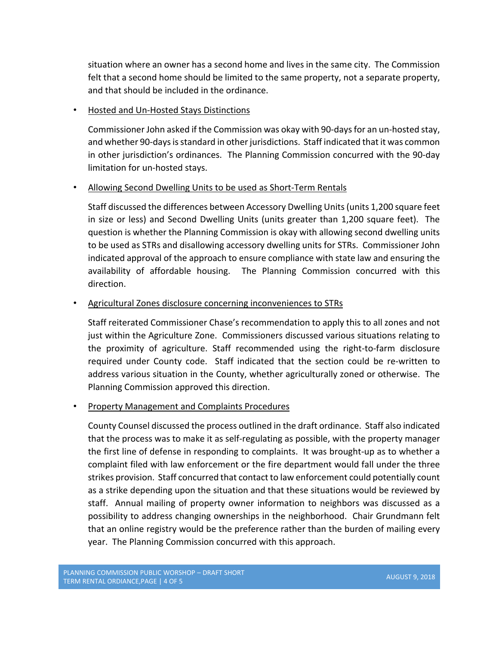situation where an owner has a second home and lives in the same city. The Commission felt that a second home should be limited to the same property, not a separate property, and that should be included in the ordinance.

# • Hosted and Un‐Hosted Stays Distinctions

Commissioner John asked if the Commission was okay with 90‐days for an un‐hosted stay, and whether 90‐days is standard in other jurisdictions. Staff indicated that it was common in other jurisdiction's ordinances. The Planning Commission concurred with the 90‐day limitation for un‐hosted stays.

# • Allowing Second Dwelling Units to be used as Short-Term Rentals

Staff discussed the differences between Accessory Dwelling Units (units 1,200 square feet in size or less) and Second Dwelling Units (units greater than 1,200 square feet). The question is whether the Planning Commission is okay with allowing second dwelling units to be used as STRs and disallowing accessory dwelling units for STRs. Commissioner John indicated approval of the approach to ensure compliance with state law and ensuring the availability of affordable housing. The Planning Commission concurred with this direction.

# • Agricultural Zones disclosure concerning inconveniences to STRs

Staff reiterated Commissioner Chase's recommendation to apply this to all zones and not just within the Agriculture Zone. Commissioners discussed various situations relating to the proximity of agriculture. Staff recommended using the right‐to‐farm disclosure required under County code. Staff indicated that the section could be re-written to address various situation in the County, whether agriculturally zoned or otherwise. The Planning Commission approved this direction.

# • Property Management and Complaints Procedures

County Counsel discussed the process outlined in the draft ordinance. Staff also indicated that the process was to make it as self‐regulating as possible, with the property manager the first line of defense in responding to complaints. It was brought‐up as to whether a complaint filed with law enforcement or the fire department would fall under the three strikes provision. Staff concurred that contact to law enforcement could potentially count as a strike depending upon the situation and that these situations would be reviewed by staff. Annual mailing of property owner information to neighbors was discussed as a possibility to address changing ownerships in the neighborhood. Chair Grundmann felt that an online registry would be the preference rather than the burden of mailing every year. The Planning Commission concurred with this approach.